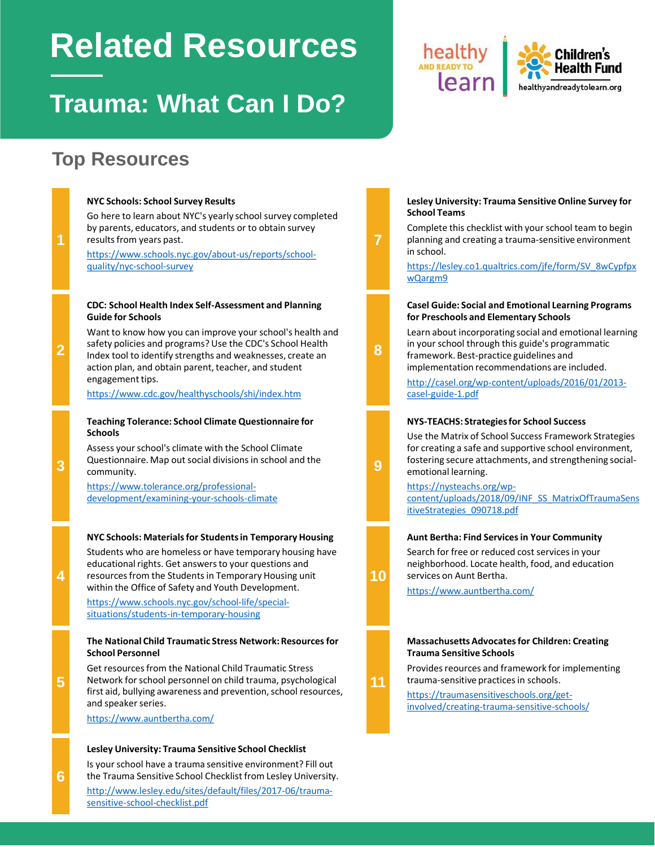# **Related Resources**

### **Trauma: What Can I Do?**

### **Top Resources**

**NYC Schools: School Survey Results**

#### Go here to learn about NYC's yearly school survey completed by parents, educators, and students or to obtain survey results from years past. [https://www.schools.nyc.gov/about-us/reports/school](https://www.schools.nyc.gov/about-us/reports/school-quality/nyc-school-survey)quality/nyc-school-survey **7 CDC: School Health Index Self-Assessment and Planning Guide for Schools** Want to know how you can improve your school's health and safety policies and programs? Use the CDC's School Health Index tool to identify strengths and weaknesses, create an action plan, and obtain parent, teacher, and student engagement tips. <https://www.cdc.gov/healthyschools/shi/index.htm> **8 Teaching Tolerance: School Climate Questionnaire for Schools** Assess your school's climate with the School Climate Questionnaire. Map out social divisions in school and the community. https://www.tolerance.org/professional[development/examining-your-schools-climate](https://www.tolerance.org/professional-development/examining-your-schools-climate) **9 NYC Schools: Materials for Students in Temporary Housing** Students who are homeless or have temporary housing have educational rights. Get answers to your questions and resources from the Students in Temporary Housing unit within the Office of Safety and Youth Development. [https://www.schools.nyc.gov/school-life/special](https://www.schools.nyc.gov/school-life/special-situations/students-in-temporary-housing)situations/students-in-temporary-housing **10 The National Child Traumatic Stress Network: Resources for School Personnel** Get resources from the National Child Traumatic Stress Network for school personnel on child trauma, psychological first aid, bullying awareness and prevention, school resources, and speaker series. <https://www.auntbertha.com/> **11**

#### **Lesley University: Trauma Sensitive School Checklist**

Is your school have a trauma sensitive environment? Fill out the Trauma Sensitive School Checklist from Lesley University.

[http://www.lesley.edu/sites/default/files/2017-06/trauma](http://www.lesley.edu/sites/default/files/2017-06/trauma-sensitive-school-checklist.pdf)sensitive-school-checklist.pdf

#### **Lesley University: Trauma Sensitive Online Survey for School Teams**

**Health Fund** 

healthyandreadytolearn.org

Complete this checklist with your school team to begin planning and creating a trauma-sensitive environment in school.

[https://lesley.co1.qualtrics.com/jfe/form/SV\\_8wCypfpx](https://lesley.co1.qualtrics.com/jfe/form/SV_8wCypfpxwQargm9) wQargm9

#### **Casel Guide: Social and Emotional Learning Programs for Preschools and Elementary Schools**

Learn about incorporating social and emotional learning in your school through this guide's programmatic framework. Best-practice guidelines and

implementation recommendations are included.

[http://casel.org/wp-content/uploads/2016/01/2013](http://casel.org/wp-content/uploads/2016/01/2013-casel-guide-1.pdf) casel-guide-1.pdf

#### **NYS-TEACHS: Strategies for School Success**

Use the Matrix of School Success Framework Strategies for creating a safe and supportive school environment, fostering secure attachments, and strengthening socialemotional learning.

https://nysteachs.org/wp[content/uploads/2018/09/INF\\_SS\\_MatrixOfTraumaSens](https://nysteachs.org/wp-content/uploads/2018/09/INF_SS_MatrixOfTraumaSensitiveStrategies_090718.pdf) itiveStrategies\_090718.pdf

#### **Aunt Bertha: Find Services in Your Community**

Search for free or reduced cost services in your neighborhood. Locate health, food, and education services on Aunt Bertha.

<https://www.auntbertha.com/>

#### **Massachusetts Advocates for Children: Creating Trauma Sensitive Schools**

Provides reources and framework for implementing trauma-sensitive practices in schools.

https://traumasensitiveschools.org/get[involved/creating-trauma-sensitive-schools/](https://traumasensitiveschools.org/get-involved/creating-trauma-sensitive-schools/)

**1**

**2**

**3**

**5**

**4**

**6**